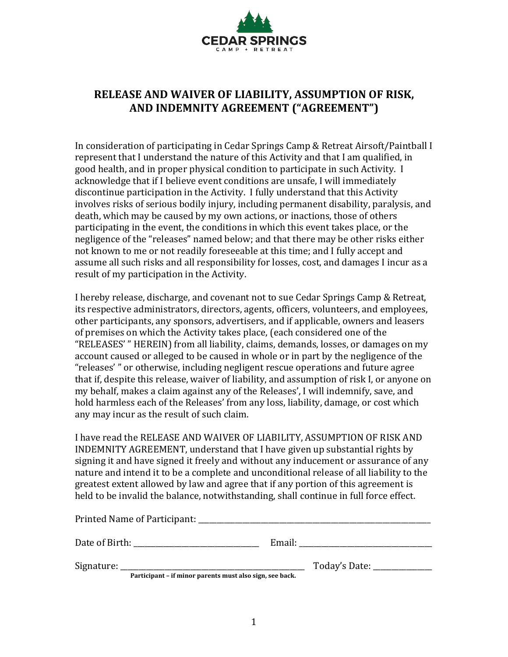

## **RELEASE AND WAIVER OF LIABILITY, ASSUMPTION OF RISK, AND INDEMNITY AGREEMENT ("AGREEMENT")**

In consideration of participating in Cedar Springs Camp & Retreat Airsoft/Paintball I represent that I understand the nature of this Activity and that I am qualified, in good health, and in proper physical condition to participate in such Activity. I acknowledge that if I believe event conditions are unsafe, I will immediately discontinue participation in the Activity. I fully understand that this Activity involves risks of serious bodily injury, including permanent disability, paralysis, and death, which may be caused by my own actions, or inactions, those of others participating in the event, the conditions in which this event takes place, or the negligence of the "releases" named below; and that there may be other risks either not known to me or not readily foreseeable at this time; and I fully accept and assume all such risks and all responsibility for losses, cost, and damages I incur as a result of my participation in the Activity.

I hereby release, discharge, and covenant not to sue Cedar Springs Camp & Retreat, its respective administrators, directors, agents, officers, volunteers, and employees, other participants, any sponsors, advertisers, and if applicable, owners and leasers of premises on which the Activity takes place, (each considered one of the "RELEASES' " HEREIN) from all liability, claims, demands, losses, or damages on my account caused or alleged to be caused in whole or in part by the negligence of the "releases'" or otherwise, including negligent rescue operations and future agree that if, despite this release, waiver of liability, and assumption of risk I, or anyone on my behalf, makes a claim against any of the Releases', I will indemnify, save, and hold harmless each of the Releases' from any loss, liability, damage, or cost which any may incur as the result of such claim.

I have read the RELEASE AND WAIVER OF LIABILITY, ASSUMPTION OF RISK AND INDEMNITY AGREEMENT, understand that I have given up substantial rights by signing it and have signed it freely and without any inducement or assurance of any nature and intend it to be a complete and unconditional release of all liability to the greatest extent allowed by law and agree that if any portion of this agreement is held to be invalid the balance, notwithstanding, shall continue in full force effect.

| Printed Name of Participant:                                         |        |                 |
|----------------------------------------------------------------------|--------|-----------------|
| Date of Birth:                                                       | Email: |                 |
| Signature:<br>Particinant - if minor naronts must also sign soo hack |        | Today's Date: _ |

Participant – if minor parents must also sign, see back.